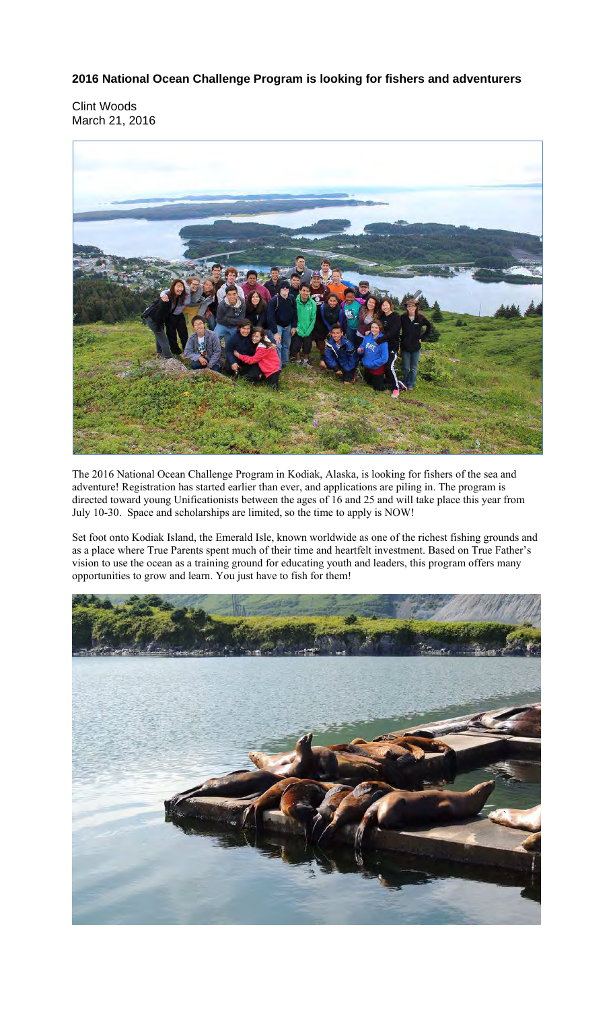**2016 National Ocean Challenge Program is looking for fishers and adventurers**

Clint Woods March 21, 2016



The 2016 National Ocean Challenge Program in Kodiak, Alaska, is looking for fishers of the sea and adventure! Registration has started earlier than ever, and applications are piling in. The program is directed toward young Unificationists between the ages of 16 and 25 and will take place this year from July 10-30. Space and scholarships are limited, so the time to apply is NOW!

Set foot onto Kodiak Island, the Emerald Isle, known worldwide as one of the richest fishing grounds and as a place where True Parents spent much of their time and heartfelt investment. Based on True Father's vision to use the ocean as a training ground for educating youth and leaders, this program offers many opportunities to grow and learn. You just have to fish for them!

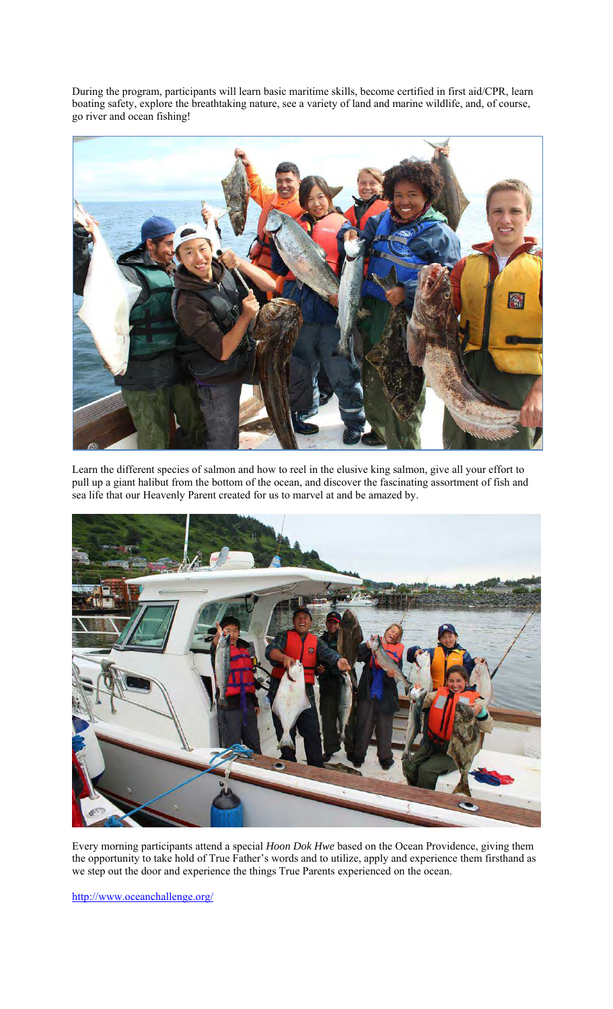During the program, participants will learn basic maritime skills, become certified in first aid/CPR, learn boating safety, explore the breathtaking nature, see a variety of land and marine wildlife, and, of course, go river and ocean fishing!



Learn the different species of salmon and how to reel in the elusive king salmon, give all your effort to pull up a giant halibut from the bottom of the ocean, and discover the fascinating assortment of fish and sea life that our Heavenly Parent created for us to marvel at and be amazed by.



Every morning participants attend a special *Hoon Dok Hwe* based on the Ocean Providence, giving them the opportunity to take hold of True Father's words and to utilize, apply and experience them firsthand as we step out the door and experience the things True Parents experienced on the ocean.

http://www.oceanchallenge.org/